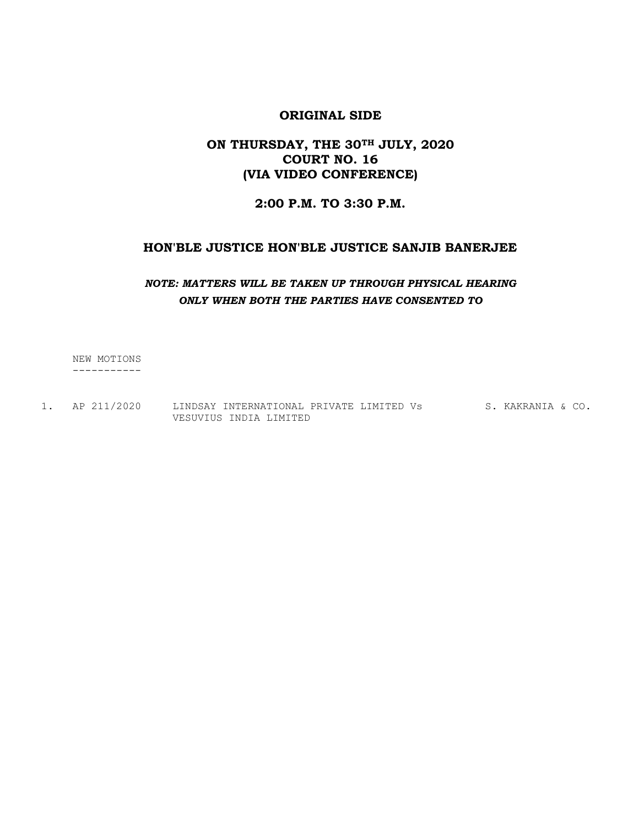# ON THURSDAY, THE 30TH JULY, 2020 COURT NO. 16 (VIA VIDEO CONFERENCE)

## 2:00 P.M. TO 3:30 P.M.

#### HON'BLE JUSTICE HON'BLE JUSTICE SANJIB BANERJEE

#### NOTE: MATTERS WILL BE TAKEN UP THROUGH PHYSICAL HEARING ONLY WHEN BOTH THE PARTIES HAVE CONSENTED TO

 NEW MOTIONS -----------

1. AP 211/2020 LINDSAY INTERNATIONAL PRIVATE LIMITED Vs S. KAKRANIA & CO. VESUVIUS INDIA LIMITED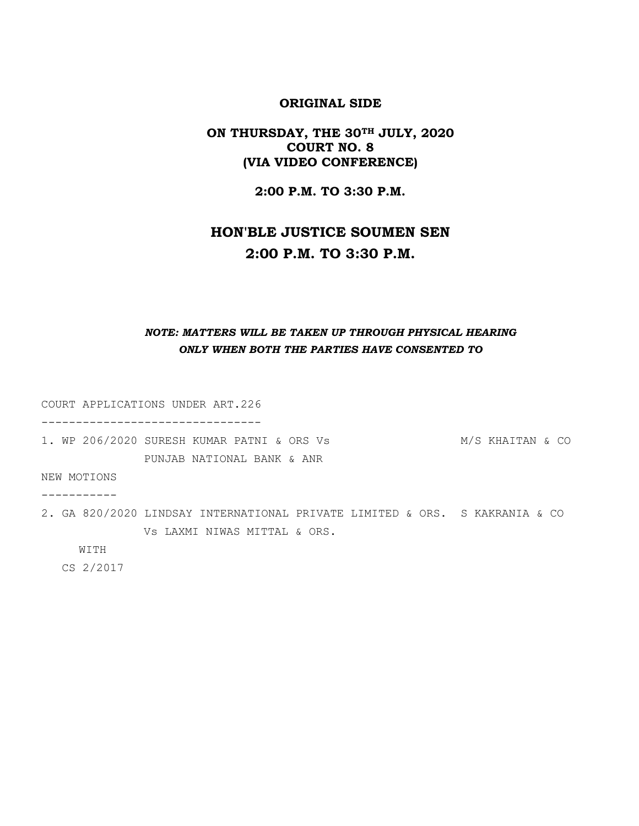#### ON THURSDAY, THE 30TH JULY, 2020 COURT NO. 8 (VIA VIDEO CONFERENCE)

2:00 P.M. TO 3:30 P.M.

# HON'BLE JUSTICE SOUMEN SEN 2:00 P.M. TO 3:30 P.M.

# NOTE: MATTERS WILL BE TAKEN UP THROUGH PHYSICAL HEARING ONLY WHEN BOTH THE PARTIES HAVE CONSENTED TO

COURT APPLICATIONS UNDER ART.226

--------------------------------

1. WP 206/2020 SURESH KUMAR PATNI & ORS Vs M/S KHAITAN & CO PUNJAB NATIONAL BANK & ANR

NEW MOTIONS

-----------

2. GA 820/2020 LINDSAY INTERNATIONAL PRIVATE LIMITED & ORS. S KAKRANIA & CO Vs LAXMI NIWAS MITTAL & ORS.

WITH

CS 2/2017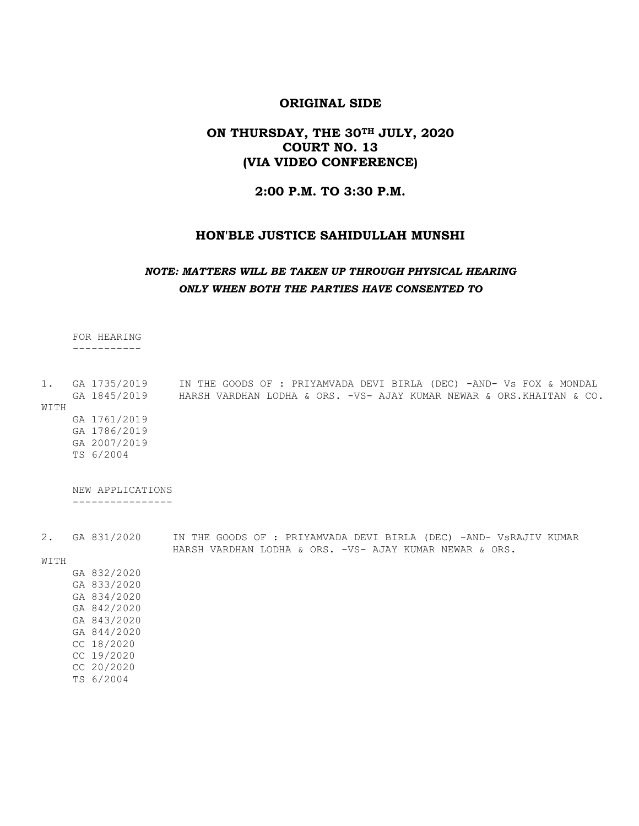#### ON THURSDAY, THE 30TH JULY, 2020 COURT NO. 13 (VIA VIDEO CONFERENCE)

#### 2:00 P.M. TO 3:30 P.M.

#### HON'BLE JUSTICE SAHIDULLAH MUNSHI

#### NOTE: MATTERS WILL BE TAKEN UP THROUGH PHYSICAL HEARING ONLY WHEN BOTH THE PARTIES HAVE CONSENTED TO

FOR HEARING

-----------

1. GA 1735/2019 IN THE GOODS OF : PRIYAMVADA DEVI BIRLA (DEC) -AND- Vs FOX & MONDAL GA 1845/2019 HARSH VARDHAN LODHA & ORS. -VS- AJAY KUMAR NEWAR & ORS.KHAITAN & CO. WITH GA 1761/2019 GA 1786/2019 GA 2007/2019

TS 6/2004

 NEW APPLICATIONS ----------------

2. GA 831/2020 IN THE GOODS OF : PRIYAMVADA DEVI BIRLA (DEC) -AND- VsRAJIV KUMAR HARSH VARDHAN LODHA & ORS. -VS- AJAY KUMAR NEWAR & ORS.

WITH

| GA 832/2020 |
|-------------|
| GA 833/2020 |
| GA 834/2020 |
| GA 842/2020 |
| GA 843/2020 |
| GA 844/2020 |
| CC 18/2020  |
| CC 19/2020  |
| CC 20/2020  |
| TS 6/2004   |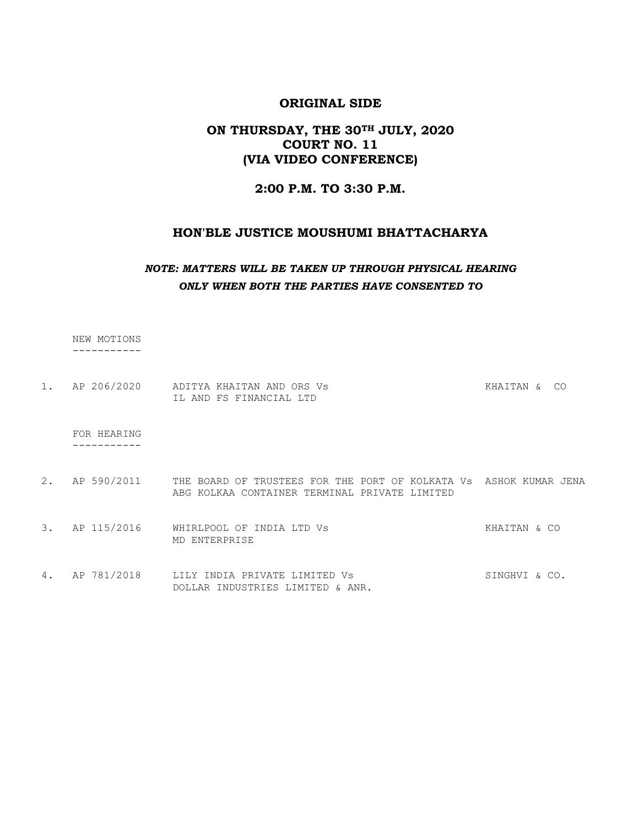# ON THURSDAY, THE 30TH JULY, 2020 COURT NO. 11 (VIA VIDEO CONFERENCE)

#### 2:00 P.M. TO 3:30 P.M.

#### HON'BLE JUSTICE MOUSHUMI BHATTACHARYA

#### NOTE: MATTERS WILL BE TAKEN UP THROUGH PHYSICAL HEARING ONLY WHEN BOTH THE PARTIES HAVE CONSENTED TO

NEW MOTIONS

-----------

| 1. AP 206/2020<br>KHAITAN & CO<br>IL AND FS FINANCIAL LTD | FOR HEARING |                           |  |
|-----------------------------------------------------------|-------------|---------------------------|--|
|                                                           |             | ADITYA KHAITAN AND ORS Vs |  |

- 2. AP 590/2011 THE BOARD OF TRUSTEES FOR THE PORT OF KOLKATA Vs ASHOK KUMAR JENA ABG KOLKAA CONTAINER TERMINAL PRIVATE LIMITED
- 3. AP 115/2016 WHIRLPOOL OF INDIA LTD Vs **KHAITAN** & CO MD ENTERPRISE
- 4. AP 781/2018 LILY INDIA PRIVATE LIMITED Vs SINGHVI & CO. DOLLAR INDUSTRIES LIMITED & ANR.